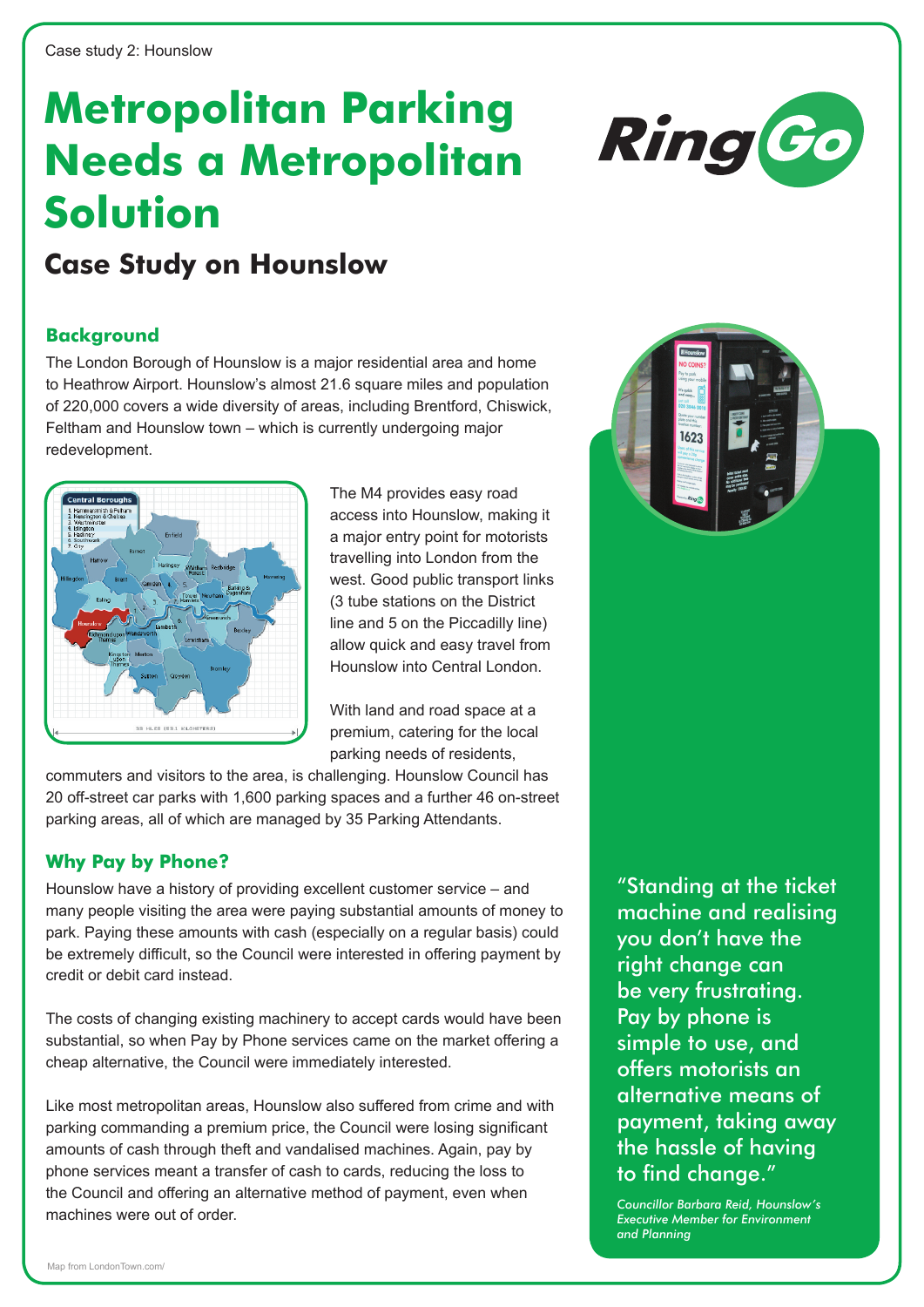# **Metropolitan Parking Needs a Metropolitan Solution**



# **Case Study on Hounslow**

### **Background**

The London Borough of Hounslow is a major residential area and home to Heathrow Airport. Hounslow's almost 21.6 square miles and population of 220,000 covers a wide diversity of areas, including Brentford, Chiswick, Feltham and Hounslow town – which is currently undergoing major redevelopment.



The M4 provides easy road access into Hounslow, making it a major entry point for motorists travelling into London from the west. Good public transport links (3 tube stations on the District line and 5 on the Piccadilly line) allow quick and easy travel from Hounslow into Central London.

With land and road space at a premium, catering for the local parking needs of residents,

commuters and visitors to the area, is challenging. Hounslow Council has 20 off-street car parks with 1,600 parking spaces and a further 46 on-street parking areas, all of which are managed by 35 Parking Attendants.

## **Why Pay by Phone?**

Hounslow have a history of providing excellent customer service – and many people visiting the area were paying substantial amounts of money to park. Paying these amounts with cash (especially on a regular basis) could be extremely difficult, so the Council were interested in offering payment by credit or debit card instead.

The costs of changing existing machinery to accept cards would have been substantial, so when Pay by Phone services came on the market offering a cheap alternative, the Council were immediately interested.

Like most metropolitan areas, Hounslow also suffered from crime and with parking commanding a premium price, the Council were losing significant amounts of cash through theft and vandalised machines. Again, pay by phone services meant a transfer of cash to cards, reducing the loss to the Council and offering an alternative method of payment, even when machines were out of order.

"Standing at the ticket machine and realising you don't have the right change can be very frustrating. Pay by phone is simple to use, and offers motorists an alternative means of payment, taking away the hassle of having to find change."

*Councillor Barbara Reid, Hounslow's Executive Member for Environment and Planning*